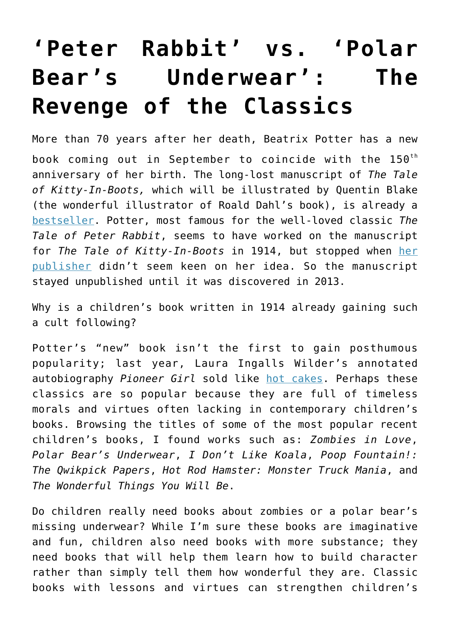## **['Peter Rabbit' vs. 'Polar](https://intellectualtakeout.org/2016/02/peter-rabbit-vs-polar-bears-underwear-the-revenge-of-the-classics/) [Bear's Underwear': The](https://intellectualtakeout.org/2016/02/peter-rabbit-vs-polar-bears-underwear-the-revenge-of-the-classics/) [Revenge of the Classics](https://intellectualtakeout.org/2016/02/peter-rabbit-vs-polar-bears-underwear-the-revenge-of-the-classics/)**

More than 70 years after her death, Beatrix Potter has a new book coming out in September to coincide with the  $150<sup>th</sup>$ anniversary of her birth. The long-lost manuscript of *The Tale of Kitty-In-Boots,* which will be illustrated by Quentin Blake (the wonderful illustrator of Roald Dahl's book), is already a [bestseller.](http://qz.com/604302/a-long-lost-book-by-beatrix-potter-is-a-bestseller-nine-months-before-its-release/) Potter, most famous for the well-loved classic *The Tale of Peter Rabbit*, seems to have worked on the manuscript for *The Tale of Kitty-In-Boots* in 1914, but stopped when [her](http://www.newyorker.com/culture/cultural-comment/the-bittersweet-announcement-of-a-new-beatrix-potter-book) [publisher](http://www.newyorker.com/culture/cultural-comment/the-bittersweet-announcement-of-a-new-beatrix-potter-book) didn't seem keen on her idea. So the manuscript stayed unpublished until it was discovered in 2013.

Why is a children's book written in 1914 already gaining such a cult following?

Potter's "new" book isn't the first to gain posthumous popularity; last year, Laura Ingalls Wilder's annotated autobiography *Pioneer Girl* sold like [hot cakes](http://www.ijreview.com/2015/01/243025-theres-reason-new-autobiography-laura-ingalls-wilder-selling-like-hot-cakes/). Perhaps these classics are so popular because they are full of timeless morals and virtues often lacking in contemporary children's books. Browsing the titles of some of the most popular recent children's books, I found works such as: *Zombies in Love*, *Polar Bear's Underwear*, *I Don't Like Koala*, *Poop Fountain!: The Qwikpick Papers*, *Hot Rod Hamster: Monster Truck Mania*, and *The Wonderful Things You Will Be*.

Do children really need books about zombies or a polar bear's missing underwear? While I'm sure these books are imaginative and fun, children also need books with more substance; they need books that will help them learn how to build character rather than simply tell them how wonderful they are. Classic books with lessons and virtues can strengthen children's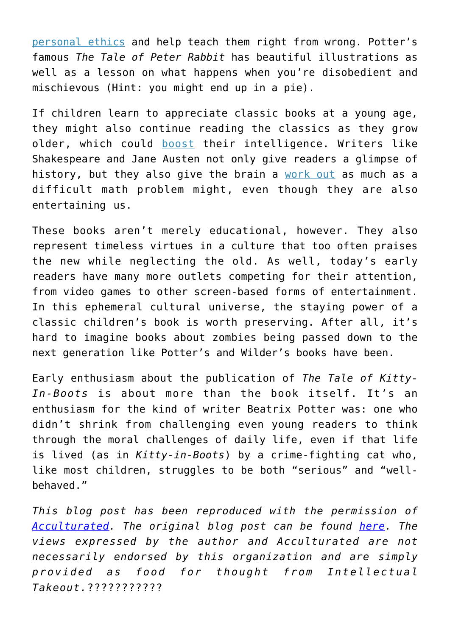[personal ethics](http://www.punchnels.com/2014/06/23/10-reasons-you-should-be-reading-the-classics/) and help teach them right from wrong. Potter's famous *The Tale of Peter Rabbit* has beautiful illustrations as well as a lesson on what happens when you're disobedient and mischievous (Hint: you might end up in a pie).

If children learn to appreciate classic books at a young age, they might also continue reading the classics as they grow older, which could [boost](http://www.telegraph.co.uk/news/science/science-news/9797617/Shakespeare-and-Wordsworth-boost-the-brain-new-research-reveals.html) their intelligence. Writers like Shakespeare and Jane Austen not only give readers a glimpse of history, but they also give the brain a [work out](http://msutoday.msu.edu/news/2012/reading-the-classics-its-more-than-just-for-fun/) as much as a difficult math problem might, even though they are also entertaining us.

These books aren't merely educational, however. They also represent timeless virtues in a culture that too often praises the new while neglecting the old. As well, today's early readers have many more outlets competing for their attention, from video games to other screen-based forms of entertainment. In this ephemeral cultural universe, the staying power of a classic children's book is worth preserving. After all, it's hard to imagine books about zombies being passed down to the next generation like Potter's and Wilder's books have been.

Early enthusiasm about the publication of *The Tale of Kitty-In-Boots* is about more than the book itself. It's an enthusiasm for the kind of writer Beatrix Potter was: one who didn't shrink from challenging even young readers to think through the moral challenges of daily life, even if that life is lived (as in *Kitty-in-Boots*) by a crime-fighting cat who, like most children, struggles to be both "serious" and "wellbehaved."

*This blog post has been reproduced with the permission of [Acculturated.](http://acculturated.com/) The original blog post can be found [here.](http://acculturated.com/revenge-of-the-classics/) The views expressed by the author and Acculturated are not necessarily endorsed by this organization and are simply provided as food for thought from Intellectual Takeout.*???????????